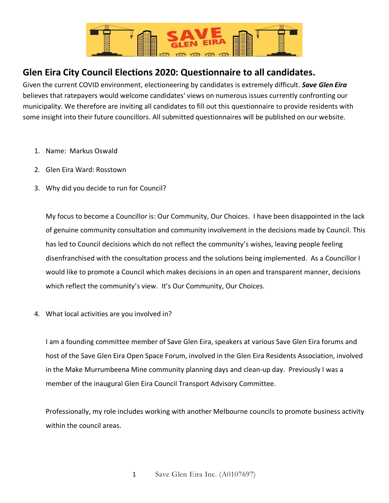

## **Glen Eira City Council Elections 2020: Questionnaire to all candidates.**

Given the current COVID environment, electioneering by candidates is extremely difficult. *Save Glen Eira* believes that ratepayers would welcome candidates' views on numerous issues currently confronting our municipality. We therefore are inviting all candidates to fill out this questionnaire to provide residents with some insight into their future councillors. All submitted questionnaires will be published on our website.

- 1. Name: Markus Oswald
- 2. Glen Eira Ward: Rosstown
- 3. Why did you decide to run for Council?

My focus to become a Councillor is: Our Community, Our Choices. I have been disappointed in the lack of genuine community consultation and community involvement in the decisions made by Council. This has led to Council decisions which do not reflect the community's wishes, leaving people feeling disenfranchised with the consultation process and the solutions being implemented. As a Councillor I would like to promote a Council which makes decisions in an open and transparent manner, decisions which reflect the community's view. It's Our Community, Our Choices.

4. What local activities are you involved in?

I am a founding committee member of Save Glen Eira, speakers at various Save Glen Eira forums and host of the Save Glen Eira Open Space Forum, involved in the Glen Eira Residents Association, involved in the Make Murrumbeena Mine community planning days and clean-up day. Previously I was a member of the inaugural Glen Eira Council Transport Advisory Committee.

Professionally, my role includes working with another Melbourne councils to promote business activity within the council areas.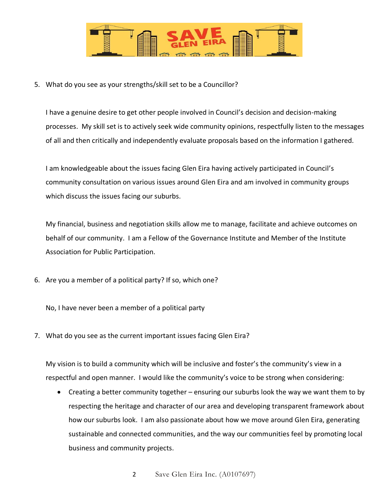

5. What do you see as your strengths/skill set to be a Councillor?

I have a genuine desire to get other people involved in Council's decision and decision-making processes. My skill set is to actively seek wide community opinions, respectfully listen to the messages of all and then critically and independently evaluate proposals based on the information I gathered.

I am knowledgeable about the issues facing Glen Eira having actively participated in Council's community consultation on various issues around Glen Eira and am involved in community groups which discuss the issues facing our suburbs.

My financial, business and negotiation skills allow me to manage, facilitate and achieve outcomes on behalf of our community. I am a Fellow of the Governance Institute and Member of the Institute Association for Public Participation.

6. Are you a member of a political party? If so, which one?

No, I have never been a member of a political party

7. What do you see as the current important issues facing Glen Eira?

My vision is to build a community which will be inclusive and foster's the community's view in a respectful and open manner. I would like the community's voice to be strong when considering:

• Creating a better community together – ensuring our suburbs look the way we want them to by respecting the heritage and character of our area and developing transparent framework about how our suburbs look. I am also passionate about how we move around Glen Eira, generating sustainable and connected communities, and the way our communities feel by promoting local business and community projects.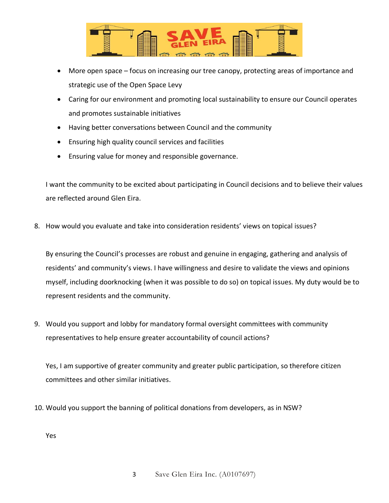

- More open space focus on increasing our tree canopy, protecting areas of importance and strategic use of the Open Space Levy
- Caring for our environment and promoting local sustainability to ensure our Council operates and promotes sustainable initiatives
- Having better conversations between Council and the community
- Ensuring high quality council services and facilities
- Ensuring value for money and responsible governance.

I want the community to be excited about participating in Council decisions and to believe their values are reflected around Glen Eira.

8. How would you evaluate and take into consideration residents' views on topical issues?

By ensuring the Council's processes are robust and genuine in engaging, gathering and analysis of residents' and community's views. I have willingness and desire to validate the views and opinions myself, including doorknocking (when it was possible to do so) on topical issues. My duty would be to represent residents and the community.

9. Would you support and lobby for mandatory formal oversight committees with community representatives to help ensure greater accountability of council actions?

Yes, I am supportive of greater community and greater public participation, so therefore citizen committees and other similar initiatives.

10. Would you support the banning of political donations from developers, as in NSW?

Yes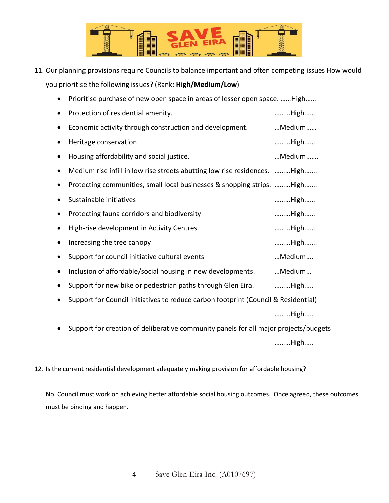

11. Our planning provisions require Councils to balance important and often competing issues How would you prioritise the following issues? (Rank: **High/Medium/Low**)

| Prioritise purchase of new open space in areas of lesser open space.  High           |        |
|--------------------------------------------------------------------------------------|--------|
| Protection of residential amenity.                                                   | High   |
| Economic activity through construction and development.                              | Medium |
| Heritage conservation                                                                | High   |
| Housing affordability and social justice.                                            | Medium |
| Medium rise infill in low rise streets abutting low rise residences. High            |        |
| Protecting communities, small local businesses & shopping strips. High               |        |
| Sustainable initiatives                                                              | High   |
| Protecting fauna corridors and biodiversity                                          | High   |
| High-rise development in Activity Centres.                                           | High   |
| Increasing the tree canopy                                                           | High   |
| Support for council initiative cultural events                                       | Medium |
| Inclusion of affordable/social housing in new developments.                          | Medium |
| Support for new bike or pedestrian paths through Glen Eira.                          | High   |
| Support for Council initiatives to reduce carbon footprint (Council & Residential)   |        |
|                                                                                      | High   |
| Support for creation of deliberative community panels for all major projects/budgets |        |

………High…..

12. Is the current residential development adequately making provision for affordable housing?

No. Council must work on achieving better affordable social housing outcomes. Once agreed, these outcomes must be binding and happen.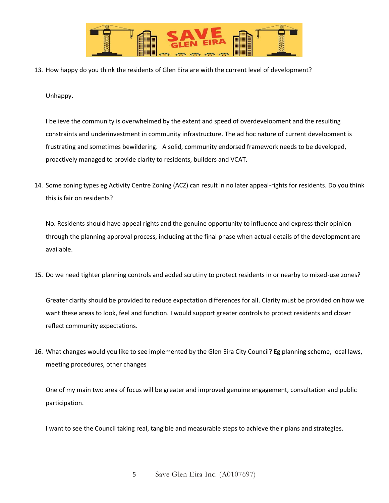

13. How happy do you think the residents of Glen Eira are with the current level of development?

## Unhappy.

I believe the community is overwhelmed by the extent and speed of overdevelopment and the resulting constraints and underinvestment in community infrastructure. The ad hoc nature of current development is frustrating and sometimes bewildering. A solid, community endorsed framework needs to be developed, proactively managed to provide clarity to residents, builders and VCAT.

14. Some zoning types eg Activity Centre Zoning (ACZ) can result in no later appeal-rights for residents. Do you think this is fair on residents?

No. Residents should have appeal rights and the genuine opportunity to influence and express their opinion through the planning approval process, including at the final phase when actual details of the development are available.

15. Do we need tighter planning controls and added scrutiny to protect residents in or nearby to mixed-use zones?

Greater clarity should be provided to reduce expectation differences for all. Clarity must be provided on how we want these areas to look, feel and function. I would support greater controls to protect residents and closer reflect community expectations.

16. What changes would you like to see implemented by the Glen Eira City Council? Eg planning scheme, local laws, meeting procedures, other changes

One of my main two area of focus will be greater and improved genuine engagement, consultation and public participation.

I want to see the Council taking real, tangible and measurable steps to achieve their plans and strategies.